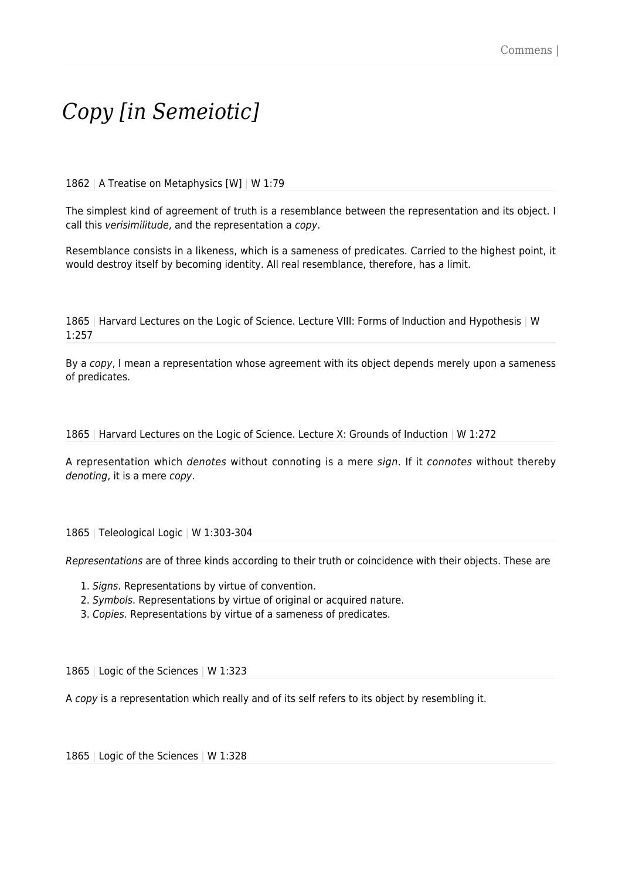## *Copy [in Semeiotic]*

1862 | A Treatise on Metaphysics [W] | W 1:79

The simplest kind of agreement of truth is a resemblance between the representation and its object. I call this verisimilitude, and the representation a copy.

Resemblance consists in a likeness, which is a sameness of predicates. Carried to the highest point, it would destroy itself by becoming identity. All real resemblance, therefore, has a limit.

1865 | Harvard Lectures on the Logic of Science. Lecture VIII: Forms of Induction and Hypothesis | W 1:257

By a copy, I mean a representation whose agreement with its object depends merely upon a sameness of predicates.

1865 | Harvard Lectures on the Logic of Science. Lecture X: Grounds of Induction | W 1:272

A representation which denotes without connoting is a mere sign. If it connotes without thereby denoting, it is a mere copy.

1865 | Teleological Logic | W 1:303-304

Representations are of three kinds according to their truth or coincidence with their objects. These are

- 1. Signs. Representations by virtue of convention.
- 2. Symbols. Representations by virtue of original or acquired nature.
- 3. Copies. Representations by virtue of a sameness of predicates.

1865 | Logic of the Sciences | W 1:323

A copy is a representation which really and of its self refers to its object by resembling it.

1865 | Logic of the Sciences | W 1:328